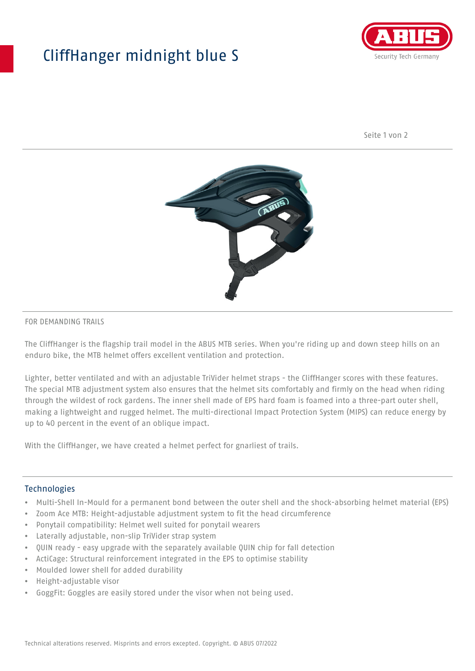## CliffHanger midnight blue S



Seite 1 von 2



## FOR DEMANDING TRAILS

The CliffHanger is the flagship trail model in the ABUS MTB series. When you're riding up and down steep hills on an enduro bike, the MTB helmet offers excellent ventilation and protection.

Lighter, better ventilated and with an adjustable TriVider helmet straps - the CliffHanger scores with these features. The special MTB adjustment system also ensures that the helmet sits comfortably and firmly on the head when riding through the wildest of rock gardens. The inner shell made of EPS hard foam is foamed into a three-part outer shell, making a lightweight and rugged helmet. The multi-directional Impact Protection System (MIPS) can reduce energy by up to 40 percent in the event of an oblique impact.

With the CliffHanger, we have created a helmet perfect for gnarliest of trails.

## Technologies

- Multi-Shell In-Mould for a permanent bond between the outer shell and the shock-absorbing helmet material (EPS)
- Zoom Ace MTB: Height-adjustable adjustment system to fit the head circumference
- Ponytail compatibility: Helmet well suited for ponytail wearers
- Laterally adjustable, non-slip TriVider strap system
- QUIN ready easy upgrade with the separately available QUIN chip for fall detection
- ActiCage: Structural reinforcement integrated in the EPS to optimise stability
- Moulded lower shell for added durability
- Height-adjustable visor
- GoggFit: Goggles are easily stored under the visor when not being used.